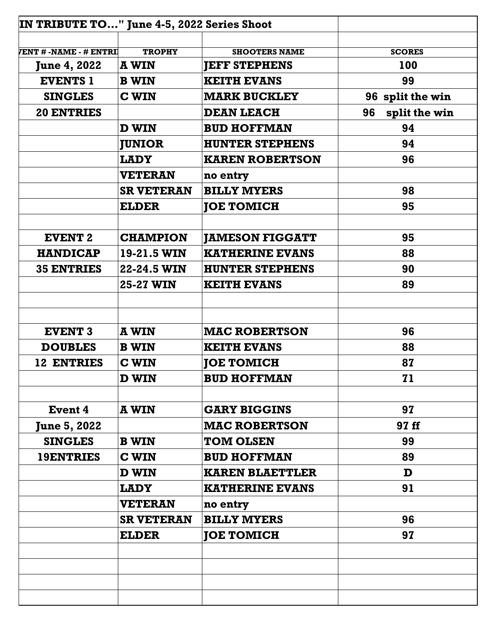| IN TRIBUTE TO" June 4-5, 2022 Series Shoot |                   |                        |                     |  |
|--------------------------------------------|-------------------|------------------------|---------------------|--|
|                                            |                   |                        |                     |  |
| <b>/ENT # -NAME - # ENTRI</b>              | <b>TROPHY</b>     | <b>SHOOTERS NAME</b>   | <b>SCORES</b>       |  |
| <b>June 4, 2022</b>                        | <b>A WIN</b>      | <b>JEFF STEPHENS</b>   | 100                 |  |
| <b>EVENTS 1</b>                            | <b>B</b> WIN      | <b>KEITH EVANS</b>     | 99                  |  |
| <b>SINGLES</b>                             | <b>C WIN</b>      | <b>MARK BUCKLEY</b>    | 96 split the win    |  |
| <b>20 ENTRIES</b>                          |                   | <b>DEAN LEACH</b>      | split the win<br>96 |  |
|                                            | D WIN             | <b>BUD HOFFMAN</b>     | 94                  |  |
|                                            | <b>JUNIOR</b>     | <b>HUNTER STEPHENS</b> | 94                  |  |
|                                            | <b>LADY</b>       | <b>KAREN ROBERTSON</b> | 96                  |  |
|                                            | <b>VETERAN</b>    | no entry               |                     |  |
|                                            | <b>SR VETERAN</b> | <b>BILLY MYERS</b>     | 98                  |  |
|                                            | <b>ELDER</b>      | <b>JOE TOMICH</b>      | 95                  |  |
|                                            |                   |                        |                     |  |
| <b>EVENT 2</b>                             | <b>CHAMPION</b>   | <b>JAMESON FIGGATT</b> | 95                  |  |
| <b>HANDICAP</b>                            | 19-21.5 WIN       | <b>KATHERINE EVANS</b> | 88                  |  |
| <b>35 ENTRIES</b>                          | 22-24.5 WIN       | <b>HUNTER STEPHENS</b> | 90                  |  |
|                                            | <b>25-27 WIN</b>  | <b>KEITH EVANS</b>     | 89                  |  |
|                                            |                   |                        |                     |  |
|                                            |                   |                        |                     |  |
| <b>EVENT 3</b>                             | <b>A WIN</b>      | <b>MAC ROBERTSON</b>   | 96                  |  |
| <b>DOUBLES</b>                             | <b>B</b> WIN      | <b>KEITH EVANS</b>     | 88                  |  |
| 12 ENTRIES                                 | <b>C WIN</b>      | <b>JOE TOMICH</b>      | 87                  |  |
|                                            | D WIN             | <b>BUD HOFFMAN</b>     | 71                  |  |
|                                            |                   |                        |                     |  |
| <b>Event 4</b>                             | A WIN             | <b>GARY BIGGINS</b>    | 97                  |  |
| <b>June 5, 2022</b>                        |                   | <b>MAC ROBERTSON</b>   | 97 ff               |  |
| <b>SINGLES</b>                             | <b>B</b> WIN      | <b>TOM OLSEN</b>       | 99                  |  |
| <b>19ENTRIES</b>                           | <b>C WIN</b>      | <b>BUD HOFFMAN</b>     | 89                  |  |
|                                            | $\mathbf D$ WIN   | <b>KAREN BLAETTLER</b> | D                   |  |
|                                            | LADY              | <b>KATHERINE EVANS</b> | 91                  |  |
|                                            | <b>VETERAN</b>    | no entry               |                     |  |
|                                            | <b>SR VETERAN</b> | <b>BILLY MYERS</b>     | 96                  |  |
|                                            | <b>ELDER</b>      | <b>JOE TOMICH</b>      | 97                  |  |
|                                            |                   |                        |                     |  |
|                                            |                   |                        |                     |  |
|                                            |                   |                        |                     |  |
|                                            |                   |                        |                     |  |
|                                            |                   |                        |                     |  |